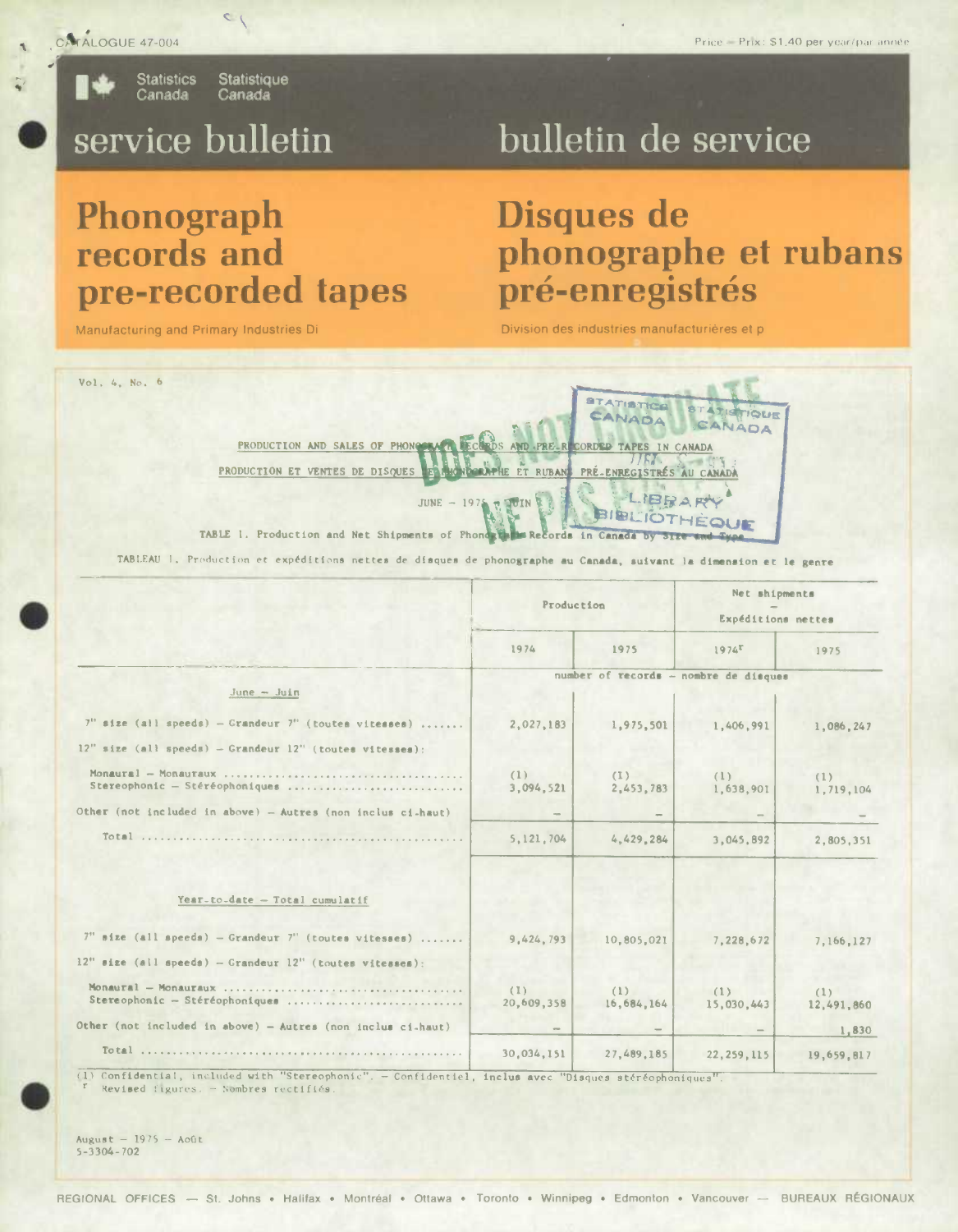CATALOGUE 47-004

**Statistics** Statistique Canada Canada

 $\sim$ 

# service bulletin

# bulletin de service

# Phonograph records and pre-recorded tapes

Manufacturing and Primary Industries Di

# Disques de phonographe et rubans pré-enregistrés

Division des industries manufacturières et p



TABLEAU 1. Production et expéditions nettes de disques de phonographe au Canada, suivant la dimension et le genre

|                                                                                                                           | Production        |                                       | Net shipments<br>Expéditions nettes |                   |
|---------------------------------------------------------------------------------------------------------------------------|-------------------|---------------------------------------|-------------------------------------|-------------------|
|                                                                                                                           | 1974              | 1975                                  | $1974$ <sup>r</sup>                 | 1975              |
| June - Juin                                                                                                               |                   | number of records - nombre de disques |                                     |                   |
| $7''$ size (all speeds) - Grandeur $7''$ (toutes vitesses)<br>$12"$ size (all speeds) - Grandeur $12"$ (toutes vitesses); | 2,027,183         | 1,975,501                             | 1.406.991                           | 1,086,247         |
| Stereophonic - Stéréophoniques                                                                                            | (1)<br>3,094,521  | (1)<br>2,453,783                      | (1)<br>1,638,901                    | (1)<br>1,719,104  |
| Other (not included in above) - Autres (non inclus ci-haut)                                                               |                   |                                       |                                     |                   |
|                                                                                                                           | 5, 121, 704       | 4.429.284                             | 3,045,892                           | 2,805,351         |
| Year-to-date - Total cumulatif                                                                                            |                   |                                       |                                     |                   |
| $7"$ size (all speeds) - Grandeur $7"$ (toutes vitesses)                                                                  | 9,424,793         | 10,805,021                            | 7.228.672                           | 7,166,127         |
| $12ii$ size (all speeds) - Grandeur $12ii$ (toutes vitesses):                                                             |                   |                                       |                                     |                   |
| Stereophonic - Stéréophoniques                                                                                            | (1)<br>20,609,358 | (1)<br>16,684,164                     | (1)<br>15,030,443                   | (1)<br>12,491,860 |
| Other (not included in above) - Autres (non inclus ci-haut)                                                               |                   |                                       |                                     | 1,830             |
|                                                                                                                           | 30,034,151        | 27.489.185                            | 22, 259, 115                        | 19,659,817        |

(1) Confidential, included with "Stereophonic". - Confidentiel, inclus avec "Disques stéréophoniques" Revised figures. - Nombres rectifiés

August -  $1975 - Aofit$  $5 - 3304 - 702$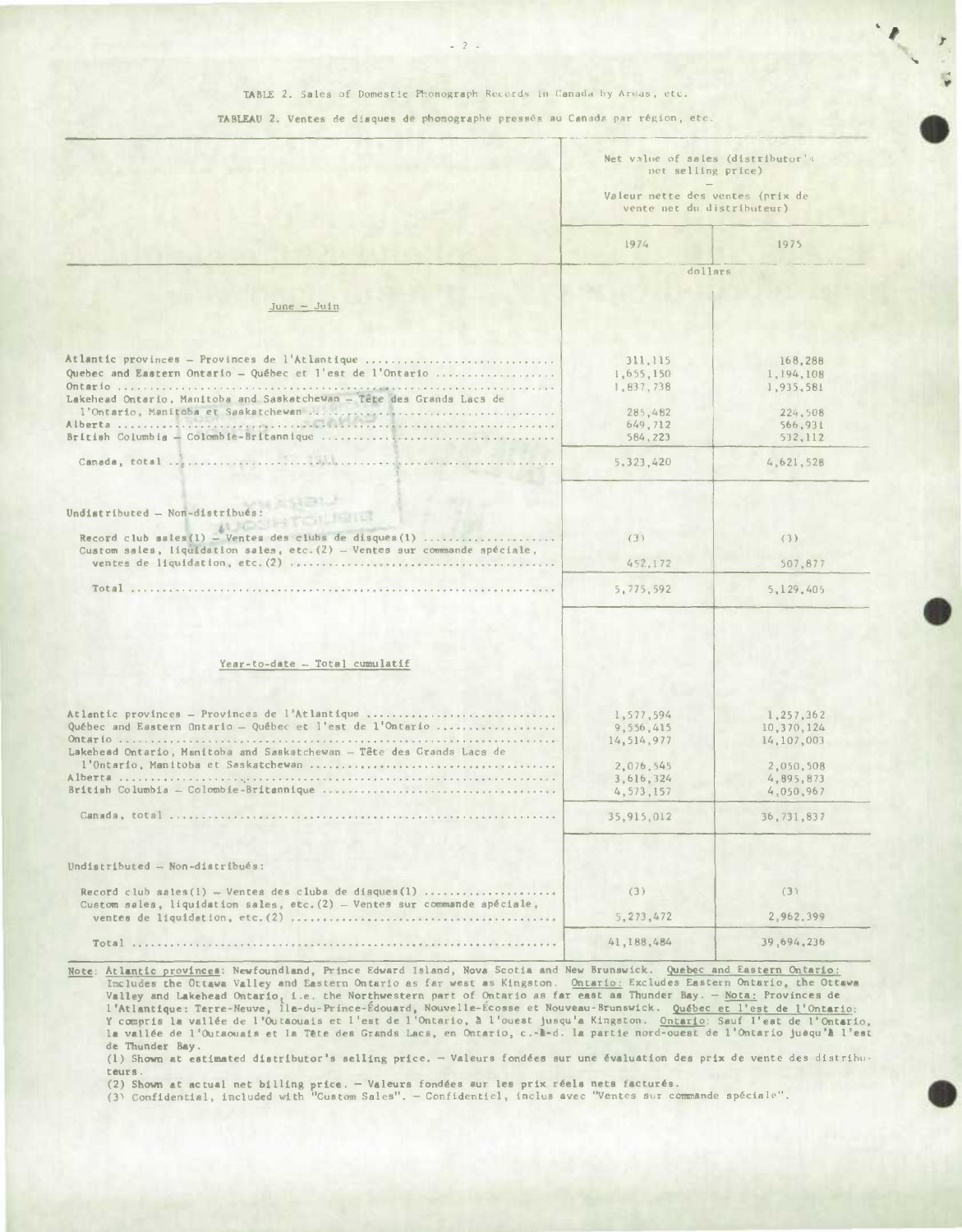## TABLE 2. Sales of Domestic Phonograph Recerds in Canada by Areas, etc.

### TABLEAU 2. Ventes de diaques de phonographe pressés au Canada par région, etc.

|                                                                                                                                          | Net value of sales (distributor's<br>net selling price)<br>Valeur nette des ventes (prix de<br>vente net du distributeur) |                                       |  |
|------------------------------------------------------------------------------------------------------------------------------------------|---------------------------------------------------------------------------------------------------------------------------|---------------------------------------|--|
|                                                                                                                                          | 1974                                                                                                                      | 1975                                  |  |
|                                                                                                                                          | dollars                                                                                                                   |                                       |  |
| $June - Juli$                                                                                                                            |                                                                                                                           |                                       |  |
|                                                                                                                                          |                                                                                                                           |                                       |  |
| Atlantic provinces - Provinces de l'Atlantique<br>Quebec and Eastern Ontario - Québec et l'est de l'Ontario                              | 311,115<br>1,655,150<br>1,837,738                                                                                         | 168,288<br>1,194,108<br>1,935,581     |  |
| Lakehead Ontario, Manitoba and Saskatchewan - Tête des Grands Lacs de                                                                    | 285,482                                                                                                                   | 224,508                               |  |
|                                                                                                                                          | 649,712<br>584,223                                                                                                        | 566,931<br>532,112                    |  |
|                                                                                                                                          | 5, 323, 420                                                                                                               | 4,621,528                             |  |
| Undistributed - Non-distribués:<br><b>AUGUST TOURIS</b>                                                                                  |                                                                                                                           |                                       |  |
| Record club sales $(1)$ - Ventes des clubs de disques $(1)$<br>Custom sales, liquidation sales, etc. (2) - Ventes sur commande spéciale, | (3)                                                                                                                       | (3)                                   |  |
|                                                                                                                                          | 452,172                                                                                                                   | 507,877                               |  |
|                                                                                                                                          | 5,775,592                                                                                                                 | 5,129,405                             |  |
|                                                                                                                                          |                                                                                                                           |                                       |  |
| Year-to-date - Total cumulatif                                                                                                           |                                                                                                                           |                                       |  |
| Atlantic provinces - Provinces de l'Atlantique<br>Québec and Eastern Ontario - Québec et l'est de l'Ontario                              | 1,577,594<br>9,556,415<br>14,514,977                                                                                      | 1,257,362<br>10,370,124<br>14,107,003 |  |
| Lakehead Ontario, Manitoba and Saskatchewan - Tête des Grands Lacs de                                                                    | 2,076,545                                                                                                                 | 2,050,508                             |  |
|                                                                                                                                          | 3,616,324<br>4, 573, 157                                                                                                  | 4,895,873<br>4,050,967                |  |
|                                                                                                                                          | 35,915,012                                                                                                                | 36, 731, 837                          |  |
| Undistributed - Non-distribués:                                                                                                          |                                                                                                                           |                                       |  |
| Record club sales $(1)$ - Ventes des clubs de disques $(1)$                                                                              | (3)                                                                                                                       | (3)                                   |  |
| Custom sales, liquidation sales, etc. (2) - Ventes sur commande spéciale,                                                                | 5, 273, 472                                                                                                               | 2,962,399                             |  |
|                                                                                                                                          | 41,188,484                                                                                                                | 39,694,236                            |  |

Note: Atlantic provincea: Newfoundland, Prince Edward Island, Nova Scotia and New Brunswick. Quebec and Eastern Ontario: Includes the Ottawa Valley and Eastern Ontario as far west as Kingston. Ontario: Excludes Eastern Ontario, the Ottawa<br>Valley and Lakehead Ontario, i.e. the Northwestern part of Ontario as far east as Thunder Bay. — Nota: P

de Thunder Bay.<br>(1) Shown at estimated distributor's selling price. — Valeurs fondées sur une évaluation des prix de vente des distrib teura.

(2) Shown at actual net billing price. — Valeurs fondées aur les prix réels nets facturés.<br>(3) Confidential, included with "Custom Sales". — Confidentiel, inclus avec "Ventes sur commande spéciale".



'S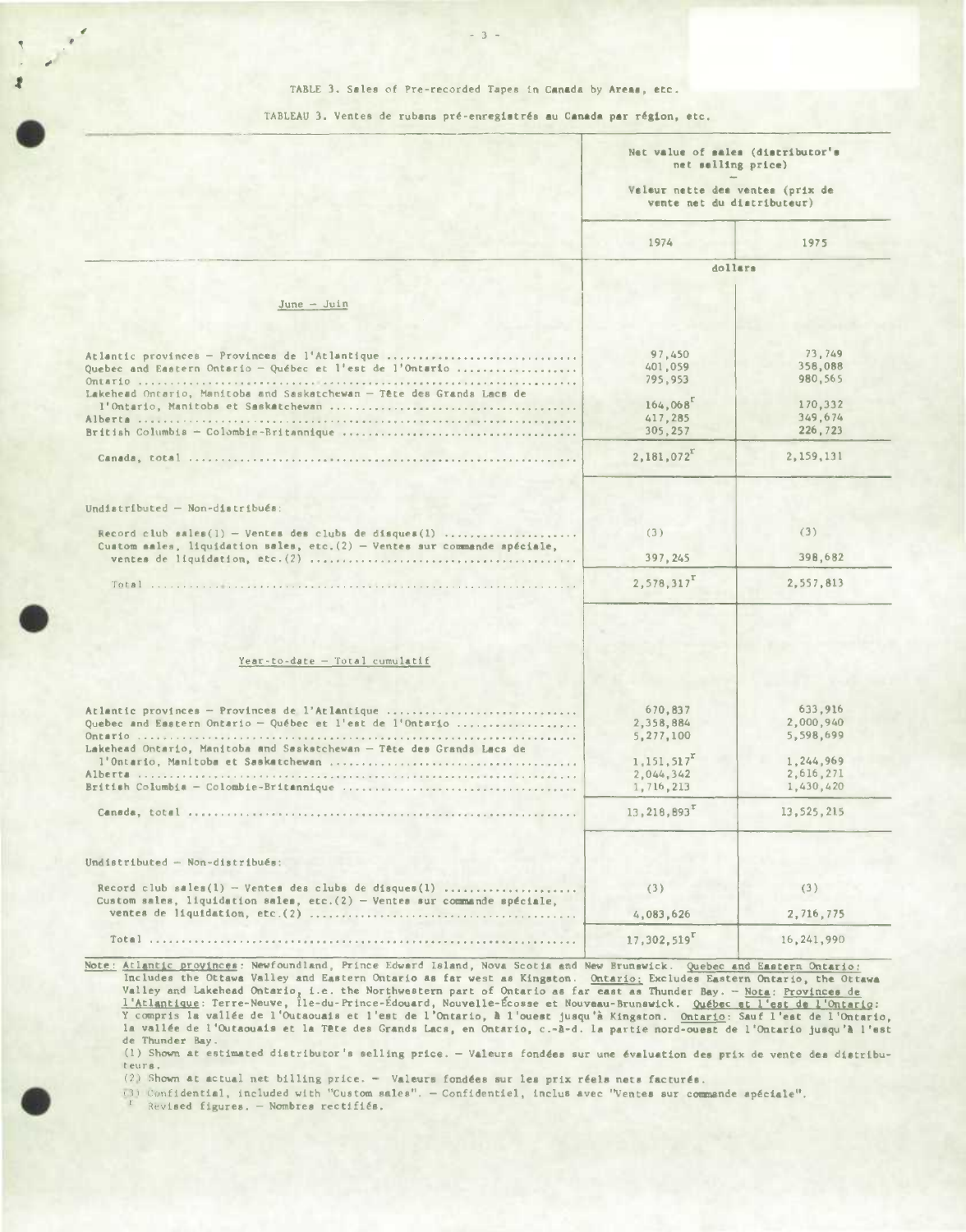#### TABLE 3. Sales of Pre-recorded Tapes in Canada by Areas, etc.

TABLEAU 3. Ventes de rubans pré-enregistrés au Canada par région, etc.

|                                                                                                                                                                                      | Net value of sales (distributor's<br>net selling price)<br>Valeur natte des ventes (prix de<br>vente net du distributeur) |                                                                          |
|--------------------------------------------------------------------------------------------------------------------------------------------------------------------------------------|---------------------------------------------------------------------------------------------------------------------------|--------------------------------------------------------------------------|
|                                                                                                                                                                                      | 1974                                                                                                                      | 1975                                                                     |
|                                                                                                                                                                                      | dollars                                                                                                                   |                                                                          |
| $June - Jim$                                                                                                                                                                         |                                                                                                                           |                                                                          |
|                                                                                                                                                                                      |                                                                                                                           |                                                                          |
| Atlantic provinces - Provinces de l'Atlantique<br>Quebec and Eastern Ontario - Québec et l'est de l'Ontario<br>Lakehead Ontario, Manitoba and Saskatchewan - Tête des Grands Lacs de | 97,450<br>401,059<br>795,953                                                                                              | 73,749<br>358,088<br>980,565                                             |
|                                                                                                                                                                                      | 164,068<br>417,285                                                                                                        | 170,332<br>349,674                                                       |
|                                                                                                                                                                                      | 305,257                                                                                                                   | 226,723                                                                  |
|                                                                                                                                                                                      | 2,181,072                                                                                                                 | 2,159,131                                                                |
| Undistributed - Non-distribués:<br>Record club sales(1) - Ventes des clubs de disques(1)<br>Custom sales, liquidation sales, etc. $(2)$ - Ventes sur commande spéciale,              | (3)<br>397, 245<br>2,578,317                                                                                              | (3)<br>398,682<br>2,557,813                                              |
| Year-to-date - Total cumulatif                                                                                                                                                       |                                                                                                                           |                                                                          |
| Atlantic provinces - Provinces de l'Atlantique<br>Quebec and Eastern Ontario - Québec et l'est de l'Ontario<br>Lakehead Ontario, Manitoba and Saskstchewan - Tête des Grands Lacs de | 670,837<br>2,358,884<br>5,277,100<br>1, 151, 517 <sup>r</sup><br>2,044,342<br>1,716,213                                   | 633,916<br>2,000,940<br>5,598,699<br>1,244,969<br>2,616,271<br>1,430,420 |
|                                                                                                                                                                                      | 13, 218, 893                                                                                                              | 13,525,215                                                               |
| Undistributed - Non-distribués:                                                                                                                                                      |                                                                                                                           |                                                                          |
| Record club sales(1) - Ventes des clubs de disques(1)                                                                                                                                | (3)                                                                                                                       | (3)                                                                      |
| Custom sales, liquidation sales, etc. $(2)$ - Ventes sur commande spéciale,                                                                                                          | 4,083,626                                                                                                                 | 2,716,775                                                                |
|                                                                                                                                                                                      |                                                                                                                           |                                                                          |

Note: Atlantic provinces: Newfoundland, Prince Edward Island, Nova Scotia and New Brunswick. Quebec and Eastern Ontario: Includes the Ottawa Valley and Eastern Ontario as far west as Kingston. Ontario: Excludes Eastern Ontario, the Ottawa<br>Valley and Lakehead Ontario, i.e. the Northwestern part of Ontario as far east as Thunder Bay. - Nota: P de Thunder Bay.

(1) Shown at estimated distributor's selling price. - Valeurs fondées sur une évaluation des prix de vente des distributeurs.

(2) Shown at actual net billing price. - Valeurs fondées sur les prix réels nets facturés.

(3) Confidential, included with "Custom sales". - Confidentiel, inclus avec "Ventes sur commande apéciale". Revised figures. - Nombres rectifiés.

 $\bullet$